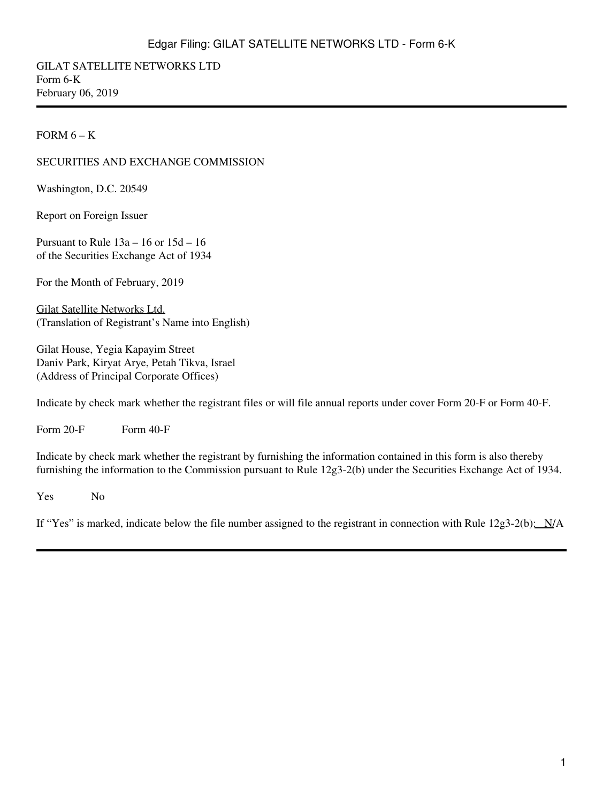GILAT SATELLITE NETWORKS LTD Form 6-K February 06, 2019

#### FORM  $6 - K$

#### SECURITIES AND EXCHANGE COMMISSION

Washington, D.C. 20549

Report on Foreign Issuer

Pursuant to Rule 13a – 16 or 15d – 16 of the Securities Exchange Act of 1934

For the Month of February, 2019

Gilat Satellite Networks Ltd. (Translation of Registrant's Name into English)

Gilat House, Yegia Kapayim Street Daniv Park, Kiryat Arye, Petah Tikva, Israel (Address of Principal Corporate Offices)

Indicate by check mark whether the registrant files or will file annual reports under cover Form 20-F or Form 40-F.

Form  $20-F$  Form  $40-F$ 

Indicate by check mark whether the registrant by furnishing the information contained in this form is also thereby furnishing the information to the Commission pursuant to Rule 12g3-2(b) under the Securities Exchange Act of 1934.

Yes No

If "Yes" is marked, indicate below the file number assigned to the registrant in connection with Rule  $12g3-2(b)$ :  $N/A$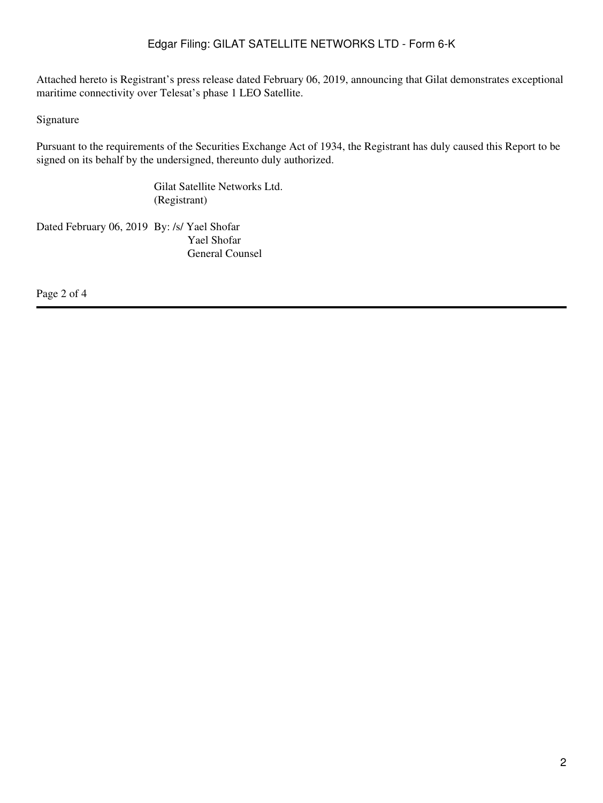Attached hereto is Registrant's press release dated February 06, 2019, announcing that Gilat demonstrates exceptional maritime connectivity over Telesat's phase 1 LEO Satellite.

Signature

Pursuant to the requirements of the Securities Exchange Act of 1934, the Registrant has duly caused this Report to be signed on its behalf by the undersigned, thereunto duly authorized.

> Gilat Satellite Networks Ltd. (Registrant)

Dated February 06, 2019 By: /s/ Yael Shofar Yael Shofar General Counsel

Page 2 of 4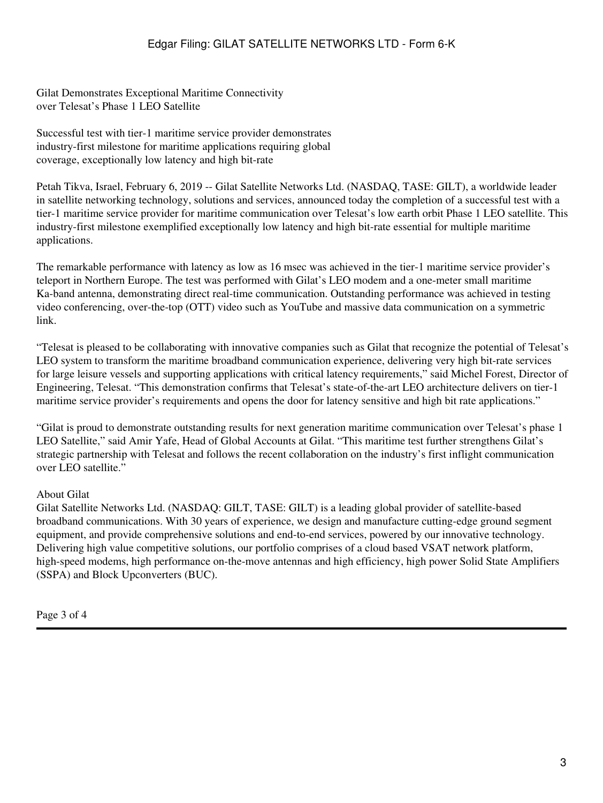Gilat Demonstrates Exceptional Maritime Connectivity over Telesat's Phase 1 LEO Satellite

Successful test with tier-1 maritime service provider demonstrates industry-first milestone for maritime applications requiring global coverage, exceptionally low latency and high bit-rate

Petah Tikva, Israel, February 6, 2019 -- Gilat Satellite Networks Ltd. (NASDAQ, TASE: GILT), a worldwide leader in satellite networking technology, solutions and services, announced today the completion of a successful test with a tier-1 maritime service provider for maritime communication over Telesat's low earth orbit Phase 1 LEO satellite. This industry-first milestone exemplified exceptionally low latency and high bit-rate essential for multiple maritime applications.

The remarkable performance with latency as low as 16 msec was achieved in the tier-1 maritime service provider's teleport in Northern Europe. The test was performed with Gilat's LEO modem and a one-meter small maritime Ka-band antenna, demonstrating direct real-time communication. Outstanding performance was achieved in testing video conferencing, over-the-top (OTT) video such as YouTube and massive data communication on a symmetric link.

"Telesat is pleased to be collaborating with innovative companies such as Gilat that recognize the potential of Telesat's LEO system to transform the maritime broadband communication experience, delivering very high bit-rate services for large leisure vessels and supporting applications with critical latency requirements," said Michel Forest, Director of Engineering, Telesat. "This demonstration confirms that Telesat's state-of-the-art LEO architecture delivers on tier-1 maritime service provider's requirements and opens the door for latency sensitive and high bit rate applications."

"Gilat is proud to demonstrate outstanding results for next generation maritime communication over Telesat's phase 1 LEO Satellite," said Amir Yafe, Head of Global Accounts at Gilat. "This maritime test further strengthens Gilat's strategic partnership with Telesat and follows the recent collaboration on the industry's first inflight communication over LEO satellite."

#### About Gilat

Gilat Satellite Networks Ltd. (NASDAQ: GILT, TASE: GILT) is a leading global provider of satellite-based broadband communications. With 30 years of experience, we design and manufacture cutting-edge ground segment equipment, and provide comprehensive solutions and end-to-end services, powered by our innovative technology. Delivering high value competitive solutions, our portfolio comprises of a cloud based VSAT network platform, high-speed modems, high performance on-the-move antennas and high efficiency, high power Solid State Amplifiers (SSPA) and Block Upconverters (BUC).

Page 3 of 4